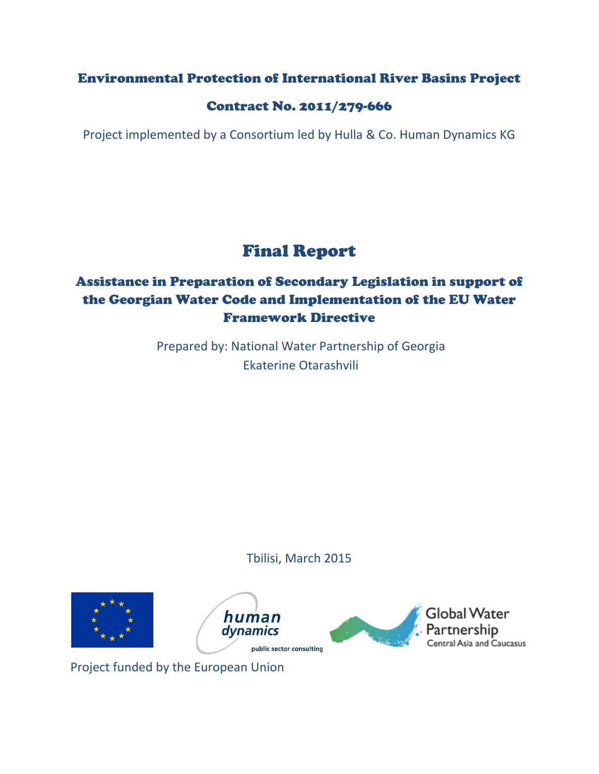### Environmental Protection of International River Basins Project

### Contract No. 2011/279-666

Project implemented by a Consortium led by Hulla & Co. Human Dynamics KG

# Final Report

# Assistance in Preparation of Secondary Legislation in support of the Georgian Water Code and Implementation of the EU Water Framework Directive

Prepared by: National Water Partnership of Georgia Ekaterine Otarashvili

Tbilisi, March 2015



Project funded by the European Union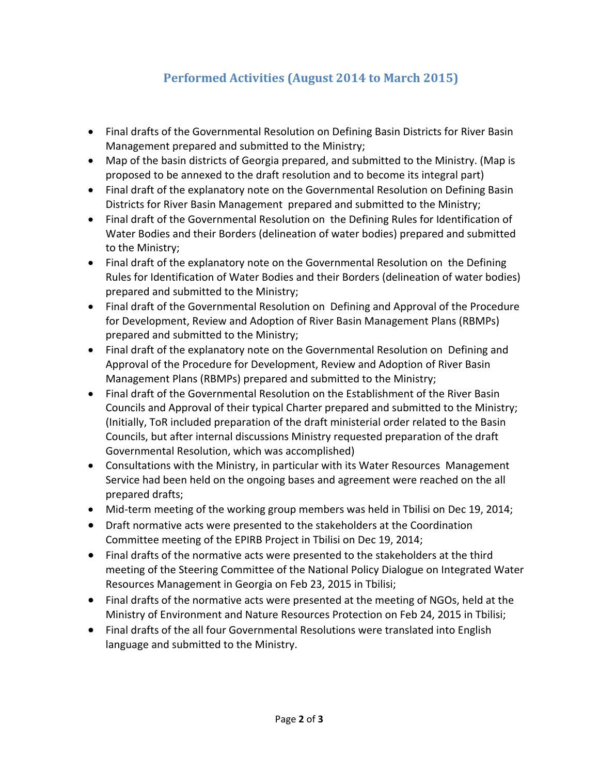## **Performed Activities (August 2014 to March 2015)**

- Final drafts of the Governmental Resolution on Defining Basin Districts for River Basin Management prepared and submitted to the Ministry;
- Map of the basin districts of Georgia prepared, and submitted to the Ministry. (Map is proposed to be annexed to the draft resolution and to become its integral part)
- Final draft of the explanatory note on the Governmental Resolution on Defining Basin Districts for River Basin Management prepared and submitted to the Ministry;
- Final draft of the Governmental Resolution on the Defining Rules for Identification of Water Bodies and their Borders (delineation of water bodies) prepared and submitted to the Ministry;
- Final draft of the explanatory note on the Governmental Resolution on the Defining Rules for Identification of Water Bodies and their Borders (delineation of water bodies) prepared and submitted to the Ministry;
- Final draft of the Governmental Resolution on Defining and Approval of the Procedure for Development, Review and Adoption of River Basin Management Plans (RBMPs) prepared and submitted to the Ministry;
- Final draft of the explanatory note on the Governmental Resolution on Defining and Approval of the Procedure for Development, Review and Adoption of River Basin Management Plans (RBMPs) prepared and submitted to the Ministry;
- Final draft of the Governmental Resolution on the Establishment of the River Basin Councils and Approval of their typical Charter prepared and submitted to the Ministry; (Initially, ToR included preparation of the draft ministerial order related to the Basin Councils, but after internal discussions Ministry requested preparation of the draft Governmental Resolution, which was accomplished)
- Consultations with the Ministry, in particular with its Water Resources Management Service had been held on the ongoing bases and agreement were reached on the all prepared drafts;
- Mid-term meeting of the working group members was held in Tbilisi on Dec 19, 2014;
- Draft normative acts were presented to the stakeholders at the Coordination Committee meeting of the EPIRB Project in Tbilisi on Dec 19, 2014;
- Final drafts of the normative acts were presented to the stakeholders at the third meeting of the Steering Committee of the National Policy Dialogue on Integrated Water Resources Management in Georgia on Feb 23, 2015 in Tbilisi;
- Final drafts of the normative acts were presented at the meeting of NGOs, held at the Ministry of Environment and Nature Resources Protection on Feb 24, 2015 in Tbilisi;
- Final drafts of the all four Governmental Resolutions were translated into English language and submitted to the Ministry.